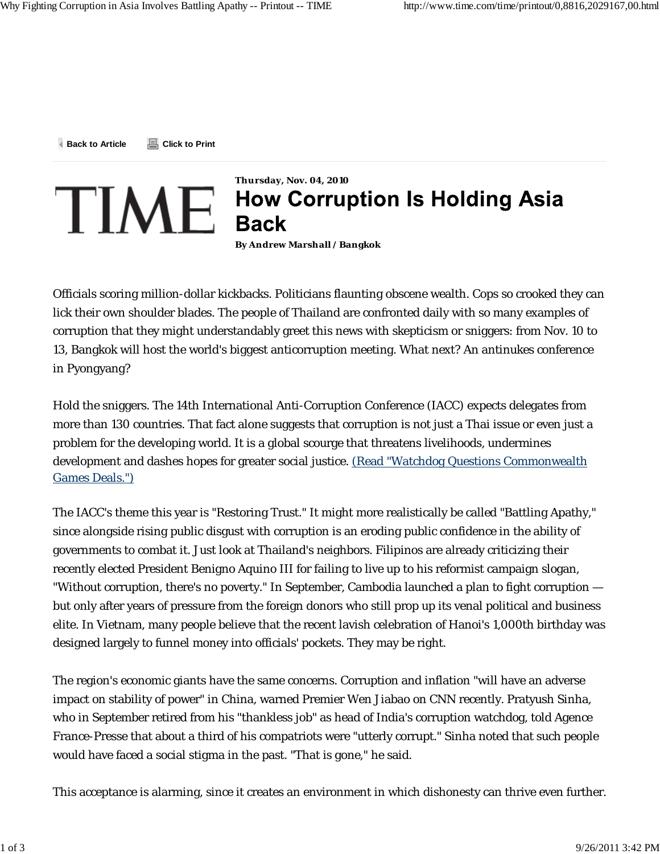**Back to Article Click to Print**



## **Thursday, Nov. 04, 2010**  $\tt TIME$  How Corruption Is Holding Asia

**By Andrew Marshall / Bangkok**

Officials scoring million-dollar kickbacks. Politicians flaunting obscene wealth. Cops so crooked they can lick their own shoulder blades. The people of Thailand are confronted daily with so many examples of corruption that they might understandably greet this news with skepticism or sniggers: from Nov. 10 to 13, Bangkok will host the world's biggest anticorruption meeting. What next? An antinukes conference in Pyongyang?

Hold the sniggers. The 14th International Anti-Corruption Conference (IACC) expects delegates from more than 130 countries. That fact alone suggests that corruption is not just a Thai issue or even just a problem for the developing world. It is a global scourge that threatens livelihoods, undermines development and dashes hopes for greater social justice. (Read "Watchdog Questions Commonwealth Games Deals.")

The IACC's theme this year is "Restoring Trust." It might more realistically be called "Battling Apathy," since alongside rising public disgust with corruption is an eroding public confidence in the ability of governments to combat it. Just look at Thailand's neighbors. Filipinos are already criticizing their recently elected President Benigno Aquino III for failing to live up to his reformist campaign slogan, "Without corruption, there's no poverty." In September, Cambodia launched a plan to fight corruption but only after years of pressure from the foreign donors who still prop up its venal political and business elite. In Vietnam, many people believe that the recent lavish celebration of Hanoi's 1,000th birthday was designed largely to funnel money into officials' pockets. They may be right.

The region's economic giants have the same concerns. Corruption and inflation "will have an adverse impact on stability of power" in China, warned Premier Wen Jiabao on CNN recently. Pratyush Sinha, who in September retired from his "thankless job" as head of India's corruption watchdog, told Agence France-Presse that about a third of his compatriots were "utterly corrupt." Sinha noted that such people would have faced a social stigma in the past. "That is gone," he said.

This acceptance is alarming, since it creates an environment in which dishonesty can thrive even further.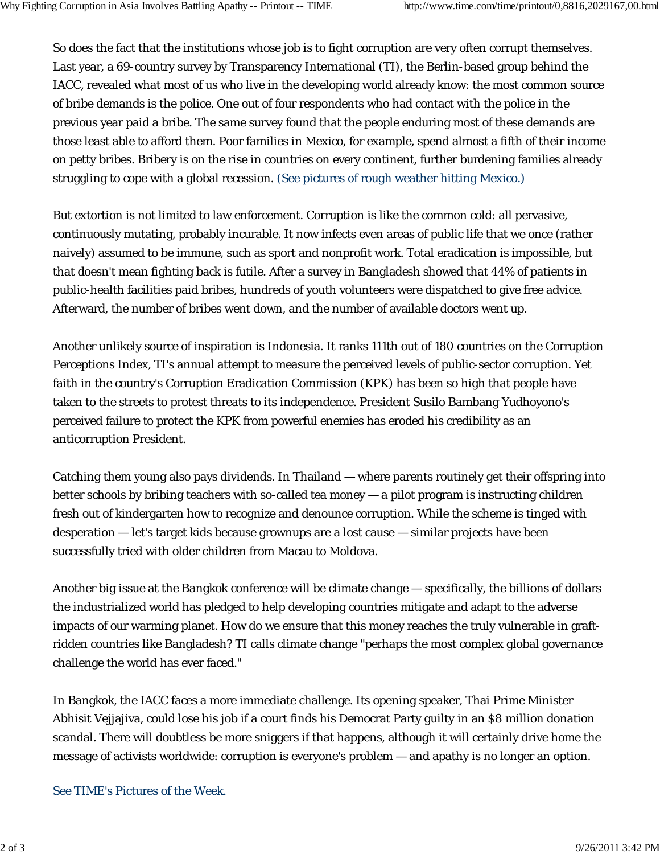So does the fact that the institutions whose job is to fight corruption are very often corrupt themselves. Last year, a 69-country survey by Transparency International (TI), the Berlin-based group behind the IACC, revealed what most of us who live in the developing world already know: the most common source of bribe demands is the police. One out of four respondents who had contact with the police in the previous year paid a bribe. The same survey found that the people enduring most of these demands are those least able to afford them. Poor families in Mexico, for example, spend almost a fifth of their income on petty bribes. Bribery is on the rise in countries on every continent, further burdening families already struggling to cope with a global recession. (See pictures of rough weather hitting Mexico.)

But extortion is not limited to law enforcement. Corruption is like the common cold: all pervasive, continuously mutating, probably incurable. It now infects even areas of public life that we once (rather naively) assumed to be immune, such as sport and nonprofit work. Total eradication is impossible, but that doesn't mean fighting back is futile. After a survey in Bangladesh showed that 44% of patients in public-health facilities paid bribes, hundreds of youth volunteers were dispatched to give free advice. Afterward, the number of bribes went down, and the number of available doctors went up.

Another unlikely source of inspiration is Indonesia. It ranks 111th out of 180 countries on the Corruption Perceptions Index, TI's annual attempt to measure the perceived levels of public-sector corruption. Yet faith in the country's Corruption Eradication Commission (KPK) has been so high that people have taken to the streets to protest threats to its independence. President Susilo Bambang Yudhoyono's perceived failure to protect the KPK from powerful enemies has eroded his credibility as an anticorruption President.

Catching them young also pays dividends. In Thailand — where parents routinely get their offspring into better schools by bribing teachers with so-called tea money — a pilot program is instructing children fresh out of kindergarten how to recognize and denounce corruption. While the scheme is tinged with desperation — let's target kids because grownups are a lost cause — similar projects have been successfully tried with older children from Macau to Moldova.

Another big issue at the Bangkok conference will be climate change — specifically, the billions of dollars the industrialized world has pledged to help developing countries mitigate and adapt to the adverse impacts of our warming planet. How do we ensure that this money reaches the truly vulnerable in graftridden countries like Bangladesh? TI calls climate change "perhaps the most complex global governance challenge the world has ever faced."

In Bangkok, the IACC faces a more immediate challenge. Its opening speaker, Thai Prime Minister Abhisit Vejjajiva, could lose his job if a court finds his Democrat Party guilty in an \$8 million donation scandal. There will doubtless be more sniggers if that happens, although it will certainly drive home the message of activists worldwide: corruption is everyone's problem — and apathy is no longer an option.

## See TIME's Pictures of the Week.